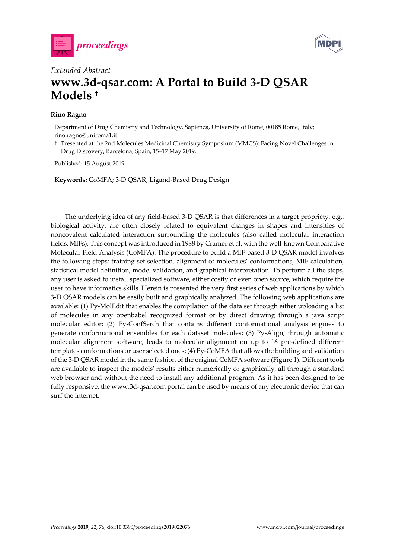



## *Extended Abstract*  **www.3d-qsar.com: A Portal to Build 3-D QSAR Models †**

## **Rino Ragno**

Department of Drug Chemistry and Technology, Sapienza, University of Rome, 00185 Rome, Italy; rino.ragno@uniroma1.it

† Presented at the 2nd Molecules Medicinal Chemistry Symposium (MMCS): Facing Novel Challenges in Drug Discovery, Barcelona, Spain, 15–17 May 2019.

Published: 15 August 2019

**Keywords:** CoMFA; 3-D QSAR; Ligand-Based Drug Design

The underlying idea of any field-based 3-D QSAR is that differences in a target propriety, e.g., biological activity, are often closely related to equivalent changes in shapes and intensities of noncovalent calculated interaction surrounding the molecules (also called molecular interaction fields, MIFs). This concept was introduced in 1988 by Cramer et al. with the well-known Comparative Molecular Field Analysis (CoMFA). The procedure to build a MIF-based 3-D QSAR model involves the following steps: training-set selection, alignment of molecules' conformations, MIF calculation, statistical model definition, model validation, and graphical interpretation. To perform all the steps, any user is asked to install specialized software, either costly or even open source, which require the user to have informatics skills. Herein is presented the very first series of web applications by which 3-D QSAR models can be easily built and graphically analyzed. The following web applications are available: (1) Py-MolEdit that enables the compilation of the data set through either uploading a list of molecules in any openbabel recognized format or by direct drawing through a java script molecular editor; (2) Py-ConfSerch that contains different conformational analysis engines to generate conformational ensembles for each dataset molecules; (3) Py-Align, through automatic molecular alignment software, leads to molecular alignment on up to 16 pre-defined different templates conformations or user selected ones; (4) Py-CoMFA that allows the building and validation of the 3-D QSAR model in the same fashion of the original CoMFA software (Figure 1). Different tools are available to inspect the models' results either numerically or graphically, all through a standard web browser and without the need to install any additional program. As it has been designed to be fully responsive, the www.3d-qsar.com portal can be used by means of any electronic device that can surf the internet.